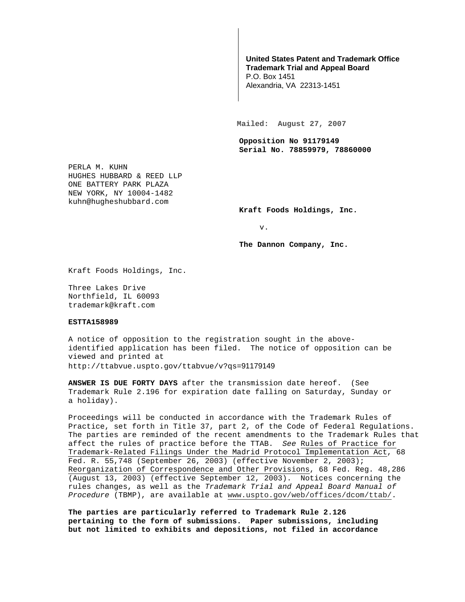## **United States Patent and Trademark Office Trademark Trial and Appeal Board**

P.O. Box 1451 Alexandria, VA 22313-1451

**Mailed: August 27, 2007** 

**Opposition No 91179149 Serial No. 78859979, 78860000** 

PERLA M. KUHN HUGHES HUBBARD & REED LLP ONE BATTERY PARK PLAZA NEW YORK, NY 10004-1482 kuhn@hugheshubbard.com

**Kraft Foods Holdings, Inc.** 

v.

**The Dannon Company, Inc.** 

Kraft Foods Holdings, Inc.

Three Lakes Drive Northfield, IL 60093 trademark@kraft.com

## **ESTTA158989**

A notice of opposition to the registration sought in the aboveidentified application has been filed. The notice of opposition can be viewed and printed at http://ttabvue.uspto.gov/ttabvue/v?qs=91179149

**ANSWER IS DUE FORTY DAYS** after the transmission date hereof. (See Trademark Rule 2.196 for expiration date falling on Saturday, Sunday or a holiday).

Proceedings will be conducted in accordance with the Trademark Rules of Practice, set forth in Title 37, part 2, of the Code of Federal Regulations. The parties are reminded of the recent amendments to the Trademark Rules that affect the rules of practice before the TTAB. See Rules of Practice for Trademark-Related Filings Under the Madrid Protocol Implementation Act, 68 Fed. R. 55,748 (September 26, 2003) (effective November 2, 2003); Reorganization of Correspondence and Other Provisions, 68 Fed. Reg. 48,286 (August 13, 2003) (effective September 12, 2003). Notices concerning the rules changes, as well as the Trademark Trial and Appeal Board Manual of Procedure (TBMP), are available at www.uspto.gov/web/offices/dcom/ttab/.

**The parties are particularly referred to Trademark Rule 2.126 pertaining to the form of submissions. Paper submissions, including but not limited to exhibits and depositions, not filed in accordance**